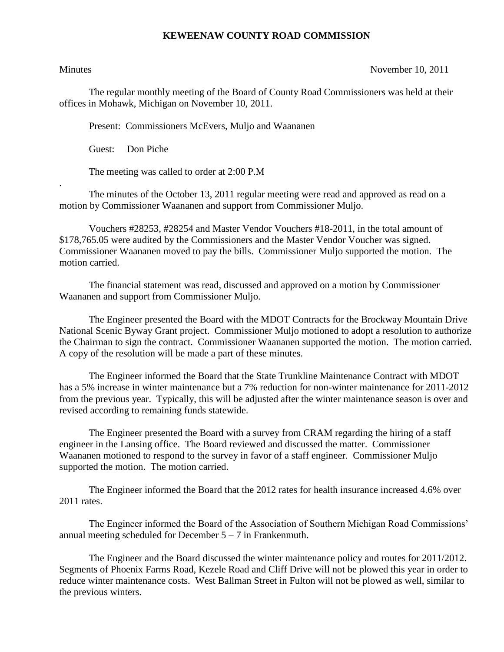## **KEWEENAW COUNTY ROAD COMMISSION**

.

Minutes November 10, 2011

The regular monthly meeting of the Board of County Road Commissioners was held at their offices in Mohawk, Michigan on November 10, 2011.

Present: Commissioners McEvers, Muljo and Waananen

Guest: Don Piche

The meeting was called to order at 2:00 P.M

The minutes of the October 13, 2011 regular meeting were read and approved as read on a motion by Commissioner Waananen and support from Commissioner Muljo.

Vouchers #28253, #28254 and Master Vendor Vouchers #18-2011, in the total amount of \$178,765.05 were audited by the Commissioners and the Master Vendor Voucher was signed. Commissioner Waananen moved to pay the bills. Commissioner Muljo supported the motion. The motion carried.

The financial statement was read, discussed and approved on a motion by Commissioner Waananen and support from Commissioner Muljo.

The Engineer presented the Board with the MDOT Contracts for the Brockway Mountain Drive National Scenic Byway Grant project. Commissioner Muljo motioned to adopt a resolution to authorize the Chairman to sign the contract. Commissioner Waananen supported the motion. The motion carried. A copy of the resolution will be made a part of these minutes.

The Engineer informed the Board that the State Trunkline Maintenance Contract with MDOT has a 5% increase in winter maintenance but a 7% reduction for non-winter maintenance for 2011-2012 from the previous year. Typically, this will be adjusted after the winter maintenance season is over and revised according to remaining funds statewide.

The Engineer presented the Board with a survey from CRAM regarding the hiring of a staff engineer in the Lansing office. The Board reviewed and discussed the matter. Commissioner Waananen motioned to respond to the survey in favor of a staff engineer. Commissioner Muljo supported the motion. The motion carried.

The Engineer informed the Board that the 2012 rates for health insurance increased 4.6% over 2011 rates.

The Engineer informed the Board of the Association of Southern Michigan Road Commissions' annual meeting scheduled for December  $5 - 7$  in Frankenmuth.

The Engineer and the Board discussed the winter maintenance policy and routes for 2011/2012. Segments of Phoenix Farms Road, Kezele Road and Cliff Drive will not be plowed this year in order to reduce winter maintenance costs. West Ballman Street in Fulton will not be plowed as well, similar to the previous winters.